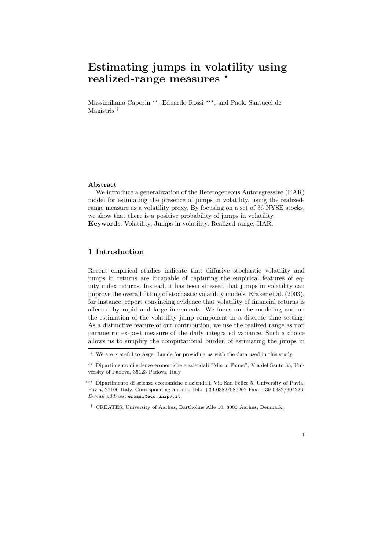# **Estimating jumps in volatility using realized-range measures** *<sup>⋆</sup>*

Massimiliano Caporin<sup>\*\*</sup>, Eduardo Rossi<sup>\*\*\*</sup>, and Paolo Santucci de Magistris *†*

#### **Abstract**

We introduce a generalization of the Heterogeneous Autoregressive (HAR) model for estimating the presence of jumps in volatility, using the realizedrange measure as a volatility proxy. By focusing on a set of 36 NYSE stocks, we show that there is a positive probability of jumps in volatility. **Keywords**: Volatility, Jumps in volatility, Realized range, HAR.

# **1 Introduction**

Recent empirical studies indicate that diffusive stochastic volatility and jumps in returns are incapable of capturing the empirical features of equity index returns. Instead, it has been stressed that jumps in volatility can improve the overall fitting of stochastic volatility models. Eraker et al. (2003), for instance, report convincing evidence that volatility of financial returns is affected by rapid and large increments. We focus on the modeling and on the estimation of the volatility jump component in a discrete time setting. As a distinctive feature of our contribution, we use the realized range as non parametric ex-post measure of the daily integrated variance. Such a choice allows us to simplify the computational burden of estimating the jumps in

*<sup>⋆</sup>* We are grateful to Asger Lunde for providing us with the data used in this study.

*<sup>⋆⋆</sup>* Dipartimento di scienze economiche e aziendali "Marco Fanno", Via del Santo 33, University of Padova, 35123 Padova, Italy

*<sup>⋆⋆⋆</sup>* Dipartimento di scienze economiche e aziendali, Via San Felice 5, University of Pavia, Pavia, 27100 Italy. Corresponding author. Tel.: +39 0382/986207 Fax: +39 0382/304226. *E-mail address*: erossi@eco.unipv.it

*<sup>†</sup>* CREATES, University of Aarhus, Bartholins Alle 10, 8000 Aarhus, Denmark.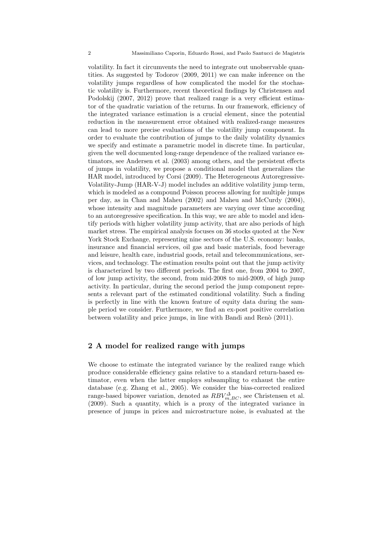volatility. In fact it circumvents the need to integrate out unobservable quantities. As suggested by Todorov (2009, 2011) we can make inference on the volatility jumps regardless of how complicated the model for the stochastic volatility is. Furthermore, recent theoretical findings by Christensen and Podolskij (2007, 2012) prove that realized range is a very efficient estimator of the quadratic variation of the returns. In our framework, efficiency of the integrated variance estimation is a crucial element, since the potential reduction in the measurement error obtained with realized-range measures can lead to more precise evaluations of the volatility jump component. In order to evaluate the contribution of jumps to the daily volatility dynamics we specify and estimate a parametric model in discrete time. In particular, given the well documented long-range dependence of the realized variance estimators, see Andersen et al. (2003) among others, and the persistent effects of jumps in volatility, we propose a conditional model that generalizes the HAR model, introduced by Corsi (2009). The Heterogeneous Autoregressive-Volatility-Jump (HAR-V-J) model includes an additive volatility jump term, which is modeled as a compound Poisson process allowing for multiple jumps per day, as in Chan and Maheu (2002) and Maheu and McCurdy (2004), whose intensity and magnitude parameters are varying over time according to an autoregressive specification. In this way, we are able to model and identify periods with higher volatility jump activity, that are also periods of high market stress. The empirical analysis focuses on 36 stocks quoted at the New York Stock Exchange, representing nine sectors of the U.S. economy: banks, insurance and financial services, oil gas and basic materials, food beverage and leisure, health care, industrial goods, retail and telecommunications, services, and technology. The estimation results point out that the jump activity is characterized by two different periods. The first one, from 2004 to 2007, of low jump activity, the second, from mid-2008 to mid-2009, of high jump activity. In particular, during the second period the jump component represents a relevant part of the estimated conditional volatility. Such a finding is perfectly in line with the known feature of equity data during the sample period we consider. Furthermore, we find an ex-post positive correlation between volatility and price jumps, in line with Bandi and Renò (2011).

### **2 A model for realized range with jumps**

We choose to estimate the integrated variance by the realized range which produce considerable efficiency gains relative to a standard return-based estimator, even when the latter employs subsampling to exhaust the entire database (e.g. Zhang et al., 2005). We consider the bias-corrected realized range-based bipower variation, denoted as  $RBV^{\Delta}_{m,BC}$ , see Christensen et al. (2009). Such a quantity, which is a proxy of the integrated variance in presence of jumps in prices and microstructure noise, is evaluated at the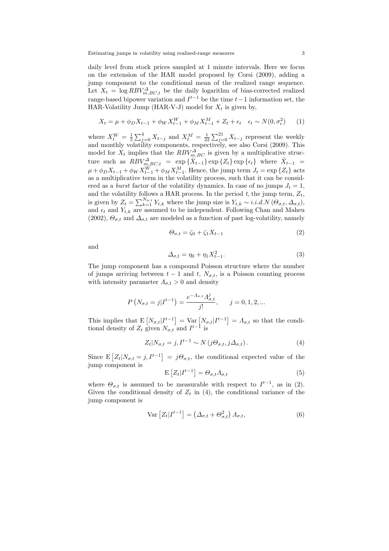daily level from stock prices sampled at 1 minute intervals. Here we focus on the extension of the HAR model proposed by Corsi (2009), adding a jump component to the conditional mean of the realized range sequence. Let  $X_t = \log RBV_{m,BC,t}^{\Delta}$  be the daily logarithm of bias-corrected realized range-based bipower variation and *I <sup>t</sup>−*<sup>1</sup> be the time *t−*1 information set, the HAR-Volatility Jump (HAR-V-J) model for  $X_t$  is given by,

$$
X_t = \mu + \phi_D X_{t-1} + \phi_W X_{t-1}^W + \phi_M X_{t-1}^M + Z_t + \epsilon_t \quad \epsilon_t \sim N(0, \sigma_\epsilon^2)
$$
 (1)

where  $X_t^W = \frac{1}{5} \sum_{j=0}^4 X_{t-j}$  and  $X_t^M = \frac{1}{22} \sum_{j=0}^{21} X_{t-j}$  represent the weekly and monthly volatility components, respectively, see also Corsi (2009). This model for  $X_t$  implies that the  $RBV_{m,BC}^{\Delta}$  is given by a multiplicative structure such as  $RBV_{m,BC,t}^{\Delta}$  = exp { $\overline{X}_{t-1}$ } exp { $Z_t$ } exp { $\epsilon_t$ } where  $\overline{X}_{t-1}$  =  $\mu + \phi_D X_{t-1} + \phi_W X_{t-1}^W + \phi_M X_{t-1}^M$ . Hence, the jump term  $J_t = \exp\{Z_t\}$  acts as a multiplicative term in the volatility process, such that it can be considered as a *burst* factor of the volatility dynamics. In case of no jumps  $J_t = 1$ , and the volatility follows a HAR process. In the period  $t$ , the jump term,  $Z_t$ , is given by  $Z_t = \sum_{k=1}^{N_{\sigma,t}} Y_{t,k}$  where the jump size is  $Y_{t,k} \sim i.i.d.N(\Theta_{\sigma,t}, \Delta_{\sigma,t})$ , and  $\epsilon_t$  and  $Y_{t,k}$  are assumed to be independent. Following Chan and Maheu  $(2002)$ ,  $\Theta_{\sigma,t}$  and  $\Delta_{\sigma,t}$  are modeled as a function of past log-volatility, namely

$$
\Theta_{\sigma,t} = \zeta_0 + \zeta_1 X_{t-1} \tag{2}
$$

and

$$
\Delta_{\sigma,t} = \eta_0 + \eta_1 X_{t-1}^2. \tag{3}
$$

The jump component has a compound Poisson structure where the number of jumps arriving between  $t-1$  and  $t$ ,  $N_{\sigma,t}$ , is a Poisson counting process with intensity parameter  $\Lambda_{\sigma,t} > 0$  and density

$$
P\left(N_{\sigma,t} = j | I^{t-1}\right) = \frac{e^{-\Lambda_{\sigma,t}} \Lambda_{\sigma,t}^j}{j!}, \quad j = 0, 1, 2, ...
$$

This implies that  $E[N_{\sigma,t}|I^{t-1}] = Var[N_{\sigma,t}|I^{t-1}] = \Lambda_{\sigma,t}$  so that the conditional density of  $Z_t$  given  $N_{\sigma,t}$  and  $I^{t-1}$  is

$$
Z_t|N_{\sigma,t} = j, I^{t-1} \sim N(j\Theta_{\sigma,t}, j\Delta_{\sigma,t}).
$$
\n(4)

Since  $E[Z_t|N_{\sigma,t} = j, I^{t-1}] = j\Theta_{\sigma,t}$ , the conditional expected value of the jump component is

$$
\mathbf{E}\left[Z_t|I^{t-1}\right] = \Theta_{\sigma,t} \Lambda_{\sigma,t} \tag{5}
$$

where  $\Theta_{\sigma,t}$  is assumed to be measurable with respect to  $I^{t-1}$ , as in (2). Given the conditional density of  $Z_t$  in (4), the conditional variance of the jump component is

$$
\text{Var}\left[Z_t|I^{t-1}\right] = \left(\Delta_{\sigma,t} + \Theta_{\sigma,t}^2\right) \Lambda_{\sigma,t},\tag{6}
$$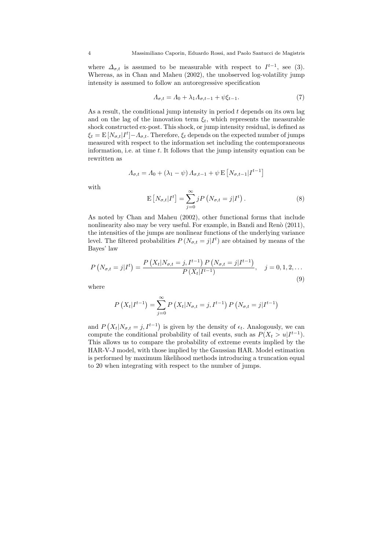where  $\Delta_{\sigma,t}$  is assumed to be measurable with respect to  $I^{t-1}$ , see (3). Whereas, as in Chan and Maheu (2002), the unobserved log-volatility jump intensity is assumed to follow an autoregressive specification

$$
\Lambda_{\sigma,t} = \Lambda_0 + \lambda_1 \Lambda_{\sigma,t-1} + \psi \xi_{t-1}.
$$
\n<sup>(7)</sup>

As a result, the conditional jump intensity in period *t* depends on its own lag and on the lag of the innovation term  $\xi_t$ , which represents the measurable shock constructed ex-post. This shock, or jump intensity residual, is defined as  $\xi_t = \mathbb{E} [N_{\sigma,t} | I^t] - A_{\sigma,t}$ . Therefore,  $\xi_t$  depends on the expected number of jumps measured with respect to the information set including the contemporaneous information, i.e. at time *t*. It follows that the jump intensity equation can be rewritten as

$$
\Lambda_{\sigma,t} = \Lambda_0 + (\lambda_1 - \psi) \Lambda_{\sigma,t-1} + \psi \mathbf{E} \left[ N_{\sigma,t-1} | I^{t-1} \right]
$$

with

$$
\mathbf{E}\left[N_{\sigma,t}|I^t\right] = \sum_{j=0}^{\infty} j P\left(N_{\sigma,t} = j|I^t\right). \tag{8}
$$

As noted by Chan and Maheu (2002), other functional forms that include nonlinearity also may be very useful. For example, in Bandi and Renò (2011), the intensities of the jumps are nonlinear functions of the underlying variance level. The filtered probabilities  $P(N_{\sigma,t} = j | I^t)$  are obtained by means of the Bayes' law

$$
P\left(N_{\sigma,t}=j|I^t\right) = \frac{P\left(X_t|N_{\sigma,t}=j,I^{t-1}\right)P\left(N_{\sigma,t}=j|I^{t-1}\right)}{P\left(X_t|I^{t-1}\right)}, \quad j=0,1,2,\ldots
$$
\n(9)

where

$$
P(X_t|I^{t-1}) = \sum_{j=0}^{\infty} P(X_t|N_{\sigma,t} = j, I^{t-1}) P(N_{\sigma,t} = j|I^{t-1})
$$

and  $P(X_t|N_{\sigma,t}=j, I^{t-1})$  is given by the density of  $\epsilon_t$ . Analogously, we can compute the conditional probability of tail events, such as  $P(X_t > u | I^{t-1})$ . This allows us to compare the probability of extreme events implied by the HAR-V-J model, with those implied by the Gaussian HAR. Model estimation is performed by maximum likelihood methods introducing a truncation equal to 20 when integrating with respect to the number of jumps.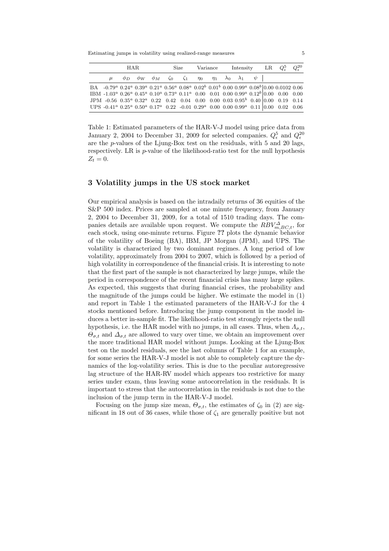Estimating jumps in volatility using realized-range measures 5

| <b>HAR</b> |  |  |  | Size |  | Variance                                                                                              |  | Intensity LR $Q_{\epsilon}^5$ $Q_{\epsilon}^{20}$ |  |  |                                                                                                                                                                                    |  |
|------------|--|--|--|------|--|-------------------------------------------------------------------------------------------------------|--|---------------------------------------------------|--|--|------------------------------------------------------------------------------------------------------------------------------------------------------------------------------------|--|
|            |  |  |  |      |  | $\mu$ $\phi_D$ $\phi_W$ $\phi_M$ $\zeta_0$ $\zeta_1$ $\eta_0$ $\eta_1$ $\lambda_0$ $\lambda_1$ $\psi$ |  |                                                   |  |  |                                                                                                                                                                                    |  |
|            |  |  |  |      |  |                                                                                                       |  |                                                   |  |  | BA $-0.79^a$ $0.24^a$ $0.39^a$ $0.21^a$ $0.56^a$ $0.08^a$ $0.02^b$ $0.01^b$ $0.00$ $0.99^a$ $0.08^b$ $ 0.00$ $0.0102$ $0.06$                                                       |  |
|            |  |  |  |      |  |                                                                                                       |  |                                                   |  |  | IBM -1.03 <sup>a</sup> 0.26 <sup>a</sup> 0.45 <sup>a</sup> 0.10 <sup>a</sup> 0.73 <sup>a</sup> 0.11 <sup>a</sup> 0.00 0.01 0.00 0.99 <sup>a</sup> 0.12 <sup>b</sup> 0.00 0.00 0.00 |  |
|            |  |  |  |      |  |                                                                                                       |  |                                                   |  |  | JPM $-0.56$ $0.35^a$ $0.32^a$ $0.22$ $0.42$ $0.04$ $0.00$ $0.00$ $0.03$ $0.95^b$ $0.40$ $0.00$ $0.19$ $0.14$                                                                       |  |
|            |  |  |  |      |  |                                                                                                       |  |                                                   |  |  | UPS $-0.41^a$ $0.25^a$ $0.50^a$ $0.17^a$ $0.22$ $-0.01$ $0.29^a$ $0.00$ $0.00$ $0.99^a$ $0.11$ $0.00$ $0.02$ $0.06$                                                                |  |

Table 1: Estimated parameters of the HAR-V-J model using price data from January 2, 2004 to December 31, 2009 for selected companies.  $Q_{\epsilon}^5$  and  $Q_{\epsilon}^{20}$ are the *p*-values of the Ljung-Box test on the residuals, with 5 and 20 lags, respectively. LR is *p*-value of the likelihood-ratio test for the null hypothesis  $Z_t = 0$ .

#### **3 Volatility jumps in the US stock market**

Our empirical analysis is based on the intradaily returns of 36 equities of the S&P 500 index. Prices are sampled at one minute frequency, from January 2, 2004 to December 31, 2009, for a total of 1510 trading days. The companies details are available upon request. We compute the  $RBV^{\Delta}_{m,BC,t}$ , for each stock, using one-minute returns. Figure **??** plots the dynamic behavior of the volatility of Boeing (BA), IBM, JP Morgan (JPM), and UPS. The volatility is characterized by two dominant regimes. A long period of low volatility, approximately from 2004 to 2007, which is followed by a period of high volatility in correspondence of the financial crisis. It is interesting to note that the first part of the sample is not characterized by large jumps, while the period in correspondence of the recent financial crisis has many large spikes. As expected, this suggests that during financial crises, the probability and the magnitude of the jumps could be higher. We estimate the model in (1) and report in Table 1 the estimated parameters of the HAR-V-J for the 4 stocks mentioned before. Introducing the jump component in the model induces a better in-sample fit. The likelihood-ratio test strongly rejects the null hypothesis, i.e. the HAR model with no jumps, in all cases. Thus, when  $\Lambda_{\sigma,t}$ ,  $\Theta_{\sigma,t}$  and  $\Delta_{\sigma,t}$  are allowed to vary over time, we obtain an improvement over the more traditional HAR model without jumps. Looking at the Ljung-Box test on the model residuals, see the last columns of Table 1 for an example, for some series the HAR-V-J model is not able to completely capture the dynamics of the log-volatility series. This is due to the peculiar autoregressive lag structure of the HAR-RV model which appears too restrictive for many series under exam, thus leaving some autocorrelation in the residuals. It is important to stress that the autocorrelation in the residuals is not due to the inclusion of the jump term in the HAR-V-J model.

Focusing on the jump size mean,  $\Theta_{\sigma,t}$ , the estimates of  $\zeta_0$  in (2) are significant in 18 out of 36 cases, while those of  $\zeta_1$  are generally positive but not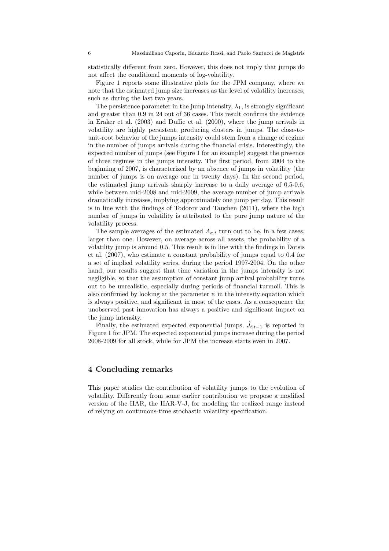statistically different from zero. However, this does not imply that jumps do not affect the conditional moments of log-volatility.

Figure 1 reports some illustrative plots for the JPM company, where we note that the estimated jump size increases as the level of volatility increases, such as during the last two years.

The persistence parameter in the jump intensity,  $\lambda_1$ , is strongly significant and greater than 0*.*9 in 24 out of 36 cases. This result confirms the evidence in Eraker et al. (2003) and Duffie et al. (2000), where the jump arrivals in volatility are highly persistent, producing clusters in jumps. The close-tounit-root behavior of the jumps intensity could stem from a change of regime in the number of jumps arrivals during the financial crisis. Interestingly, the expected number of jumps (see Figure 1 for an example) suggest the presence of three regimes in the jumps intensity. The first period, from 2004 to the beginning of 2007, is characterized by an absence of jumps in volatility (the number of jumps is on average one in twenty days). In the second period, the estimated jump arrivals sharply increase to a daily average of 0.5-0.6, while between mid-2008 and mid-2009, the average number of jump arrivals dramatically increases, implying approximately one jump per day. This result is in line with the findings of Todorov and Tauchen (2011), where the high number of jumps in volatility is attributed to the pure jump nature of the volatility process.

The sample averages of the estimated  $\Lambda_{\sigma,t}$  turn out to be, in a few cases, larger than one. However, on average across all assets, the probability of a volatility jump is around 0*.*5. This result is in line with the findings in Dotsis et al. (2007), who estimate a constant probability of jumps equal to 0*.*4 for a set of implied volatility series, during the period 1997-2004. On the other hand, our results suggest that time variation in the jumps intensity is not negligible, so that the assumption of constant jump arrival probability turns out to be unrealistic, especially during periods of financial turmoil. This is also confirmed by looking at the parameter  $\psi$  in the intensity equation which is always positive, and significant in most of the cases. As a consequence the unobserved past innovation has always a positive and significant impact on the jump intensity.

Finally, the estimated expected exponential jumps,  $\hat{J}_{t|t-1}$  is reported in Figure 1 for JPM. The expected exponential jumps increase during the period 2008-2009 for all stock, while for JPM the increase starts even in 2007.

## **4 Concluding remarks**

This paper studies the contribution of volatility jumps to the evolution of volatility. Differently from some earlier contribution we propose a modified version of the HAR, the HAR-V-J, for modeling the realized range instead of relying on continuous-time stochastic volatility specification.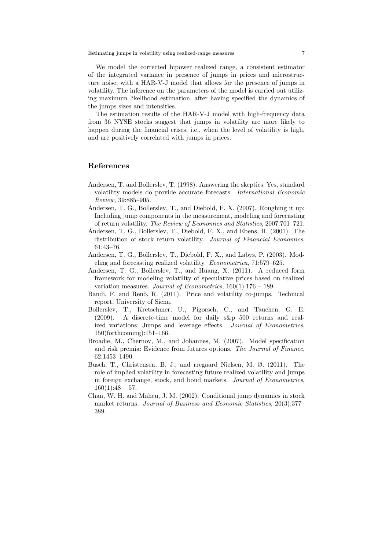Estimating jumps in volatility using realized-range measures 7

We model the corrected bipower realized range, a consistent estimator of the integrated variance in presence of jumps in prices and microstructure noise, with a HAR-V-J model that allows for the presence of jumps in volatility. The inference on the parameters of the model is carried out utilizing maximum likelihood estimation, after having specified the dynamics of the jumps sizes and intensities.

The estimation results of the HAR-V-J model with high-frequency data from 36 NYSE stocks suggest that jumps in volatility are more likely to happen during the financial crises, i.e., when the level of volatility is high, and are positively correlated with jumps in prices.

### **References**

- Andersen, T. and Bollerslev, T. (1998). Answering the skeptics: Yes, standard volatility models do provide accurate forecasts. *International Economic Review*, 39:885–905.
- Andersen, T. G., Bollerslev, T., and Diebold, F. X. (2007). Roughing it up: Including jump components in the measurement, modeling and forecasting of return volatility. *The Review of Economics and Statistics*, 2007:701–721.
- Andersen, T. G., Bollerslev, T., Diebold, F. X., and Ebens, H. (2001). The distribution of stock return volatility. *Journal of Financial Economics*, 61:43–76.
- Andersen, T. G., Bollerslev, T., Diebold, F. X., and Labys, P. (2003). Modeling and forecasting realized volatility. *Econometrica*, 71:579–625.
- Andersen, T. G., Bollerslev, T., and Huang, X. (2011). A reduced form framework for modeling volatility of speculative prices based on realized variation measures. *Journal of Econometrics*, 160(1):176 – 189.
- Bandi, F. and Renò, R. (2011). Price and volatility co-jumps. Technical report, University of Siena.
- Bollerslev, T., Kretschmer, U., Pigorsch, C., and Tauchen, G. E. (2009). A discrete-time model for daily s&p 500 returns and realized variations: Jumps and leverage effects. *Journal of Econometrics*, 150(forthcoming):151–166.
- Broadie, M., Chernov, M., and Johannes, M. (2007). Model specification and risk premia: Evidence from futures options. *The Journal of Finance*, 62:1453–1490.
- Busch, T., Christensen, B. J., and rregaard Nielsen, M. Ø. (2011). The role of implied volatility in forecasting future realized volatility and jumps in foreign exchange, stock, and bond markets. *Journal of Econometrics*,  $160(1):48 - 57.$
- Chan, W. H. and Maheu, J. M. (2002). Conditional jump dynamics in stock market returns. *Journal of Business and Economic Statistics*, 20(3):377– 389.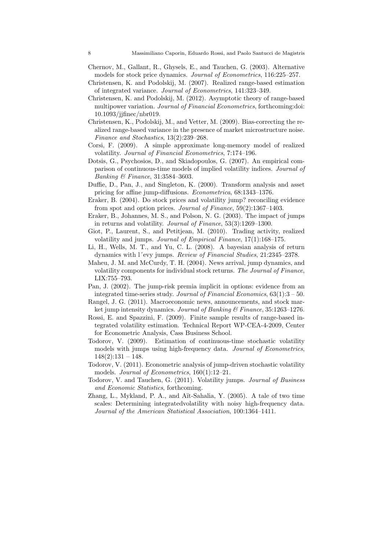- Chernov, M., Gallant, R., Ghysels, E., and Tauchen, G. (2003). Alternative models for stock price dynamics. *Journal of Econometrics*, 116:225–257.
- Christensen, K. and Podolskij, M. (2007). Realized range-based estimation of integrated variance. *Journal of Econometrics*, 141:323–349.
- Christensen, K. and Podolskij, M. (2012). Asymptotic theory of range-based multipower variation. *Journal of Financial Econometrics*, forthcoming:doi: 10.1093/jjfinec/nbr019.
- Christensen, K., Podolskij, M., and Vetter, M. (2009). Bias-correcting the realized range-based variance in the presence of market microstructure noise. *Finance and Stochastics*, 13(2):239–268.
- Corsi, F. (2009). A simple approximate long-memory model of realized volatility. *Journal of Financial Econometrics*, 7:174–196.
- Dotsis, G., Psychosios, D., and Skiadopoulos, G. (2007). An empirical comparison of continuous-time models of implied volatility indices. *Journal of Banking & Finance*, 31:3584–3603.
- Duffie, D., Pan, J., and Singleton, K. (2000). Transform analysis and asset pricing for affine jump-diffusions. *Econometrica*, 68:1343–1376.
- Eraker, B. (2004). Do stock prices and volatility jump? reconciling evidence from spot and option prices. *Journal of Finance*, 59(2):1367–1403.
- Eraker, B., Johannes, M. S., and Polson, N. G. (2003). The impact of jumps in returns and volatility. *Journal of Finance*, 53(3):1269–1300.
- Giot, P., Laurent, S., and Petitjean, M. (2010). Trading activity, realized volatility and jumps. *Journal of Empirical Finance*, 17(1):168–175.
- Li, H., Wells, M. T., and Yu, C. L. (2008). A bayesian analysis of return dynamics with l´evy jumps. *Review of Financial Studies*, 21:2345–2378.
- Maheu, J. M. and McCurdy, T. H. (2004). News arrival, jump dynamics, and volatility components for individual stock returns. *The Journal of Finance*, LIX:755–793.
- Pan, J. (2002). The jump-risk premia implicit in options: evidence from an integrated time-series study. *Journal of Financial Economics*, 63(1):3 – 50.
- Rangel, J. G. (2011). Macroeconomic news, announcements, and stock market jump intensity dynamics. *Journal of Banking & Finance*, 35:1263–1276.
- Rossi, E. and Spazzini, F. (2009). Finite sample results of range-based integrated volatility estimation. Technical Report WP-CEA-4-2009, Center for Econometric Analysis, Cass Business School.
- Todorov, V. (2009). Estimation of continuous-time stochastic volatility models with jumps using high-frequency data. *Journal of Econometrics*,  $148(2):131 - 148.$
- Todorov, V. (2011). Econometric analysis of jump-driven stochastic volatility models. *Journal of Econometrics*, 160(1):12–21.
- Todorov, V. and Tauchen, G. (2011). Volatility jumps. *Journal of Business and Economic Statistics*, forthcoming.
- Zhang, L., Mykland, P. A., and Aït-Sahalia, Y. (2005). A tale of two time scales: Determining integratedvolatility with noisy high-frequency data. *Journal of the American Statistical Association*, 100:1364–1411.